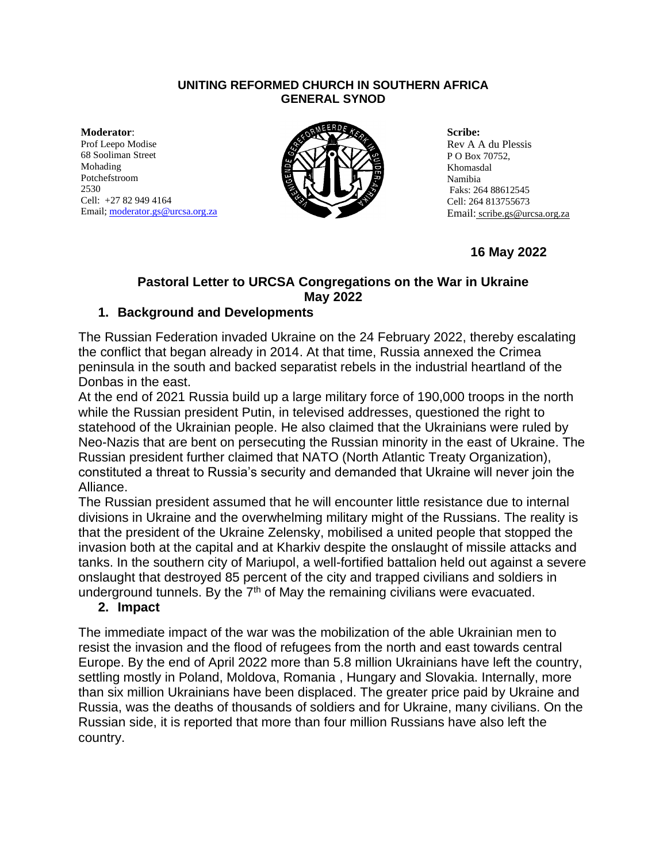#### **UNITING REFORMED CHURCH IN SOUTHERN AFRICA GENERAL SYNOD**

**Moderator**: Prof Leepo Modise 68 Sooliman Street Mohading Potchefstroom 2530 Cell: +27 82 949 4164 Email[; moderator.gs@urcsa.org.za](mailto:moderator.gs@urcsa.org.za)



**Scribe:**  Rev A A du Plessis P O Box 70752, Khomasdal Namibia Faks: 264 88612545 Cell: 264 813755673 Email: scribe.gs@urcsa.org.za

**16 May 2022**

# **Pastoral Letter to URCSA Congregations on the War in Ukraine May 2022**

## **1. Background and Developments**

The Russian Federation invaded Ukraine on the 24 February 2022, thereby escalating the conflict that began already in 2014. At that time, Russia annexed the Crimea peninsula in the south and backed separatist rebels in the industrial heartland of the Donbas in the east.

At the end of 2021 Russia build up a large military force of 190,000 troops in the north while the Russian president Putin, in televised addresses, questioned the right to statehood of the Ukrainian people. He also claimed that the Ukrainians were ruled by Neo-Nazis that are bent on persecuting the Russian minority in the east of Ukraine. The Russian president further claimed that NATO (North Atlantic Treaty Organization), constituted a threat to Russia's security and demanded that Ukraine will never join the Alliance.

The Russian president assumed that he will encounter little resistance due to internal divisions in Ukraine and the overwhelming military might of the Russians. The reality is that the president of the Ukraine Zelensky, mobilised a united people that stopped the invasion both at the capital and at Kharkiv despite the onslaught of missile attacks and tanks. In the southern city of Mariupol, a well-fortified battalion held out against a severe onslaught that destroyed 85 percent of the city and trapped civilians and soldiers in underground tunnels. By the  $7<sup>th</sup>$  of May the remaining civilians were evacuated.

### **2. Impact**

The immediate impact of the war was the mobilization of the able Ukrainian men to resist the invasion and the flood of refugees from the north and east towards central Europe. By the end of April 2022 more than 5.8 million Ukrainians have left the country, settling mostly in Poland, Moldova, Romania , Hungary and Slovakia. Internally, more than six million Ukrainians have been displaced. The greater price paid by Ukraine and Russia, was the deaths of thousands of soldiers and for Ukraine, many civilians. On the Russian side, it is reported that more than four million Russians have also left the country.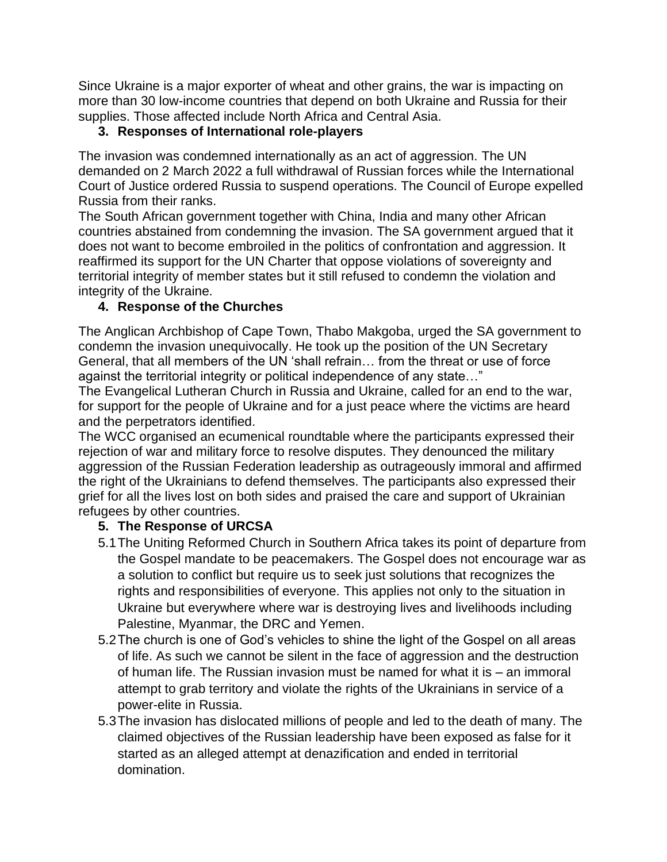Since Ukraine is a major exporter of wheat and other grains, the war is impacting on more than 30 low-income countries that depend on both Ukraine and Russia for their supplies. Those affected include North Africa and Central Asia.

## **3. Responses of International role-players**

The invasion was condemned internationally as an act of aggression. The UN demanded on 2 March 2022 a full withdrawal of Russian forces while the International Court of Justice ordered Russia to suspend operations. The Council of Europe expelled Russia from their ranks.

The South African government together with China, India and many other African countries abstained from condemning the invasion. The SA government argued that it does not want to become embroiled in the politics of confrontation and aggression. It reaffirmed its support for the UN Charter that oppose violations of sovereignty and territorial integrity of member states but it still refused to condemn the violation and integrity of the Ukraine.

## **4. Response of the Churches**

The Anglican Archbishop of Cape Town, Thabo Makgoba, urged the SA government to condemn the invasion unequivocally. He took up the position of the UN Secretary General, that all members of the UN 'shall refrain… from the threat or use of force against the territorial integrity or political independence of any state…"

The Evangelical Lutheran Church in Russia and Ukraine, called for an end to the war, for support for the people of Ukraine and for a just peace where the victims are heard and the perpetrators identified.

The WCC organised an ecumenical roundtable where the participants expressed their rejection of war and military force to resolve disputes. They denounced the military aggression of the Russian Federation leadership as outrageously immoral and affirmed the right of the Ukrainians to defend themselves. The participants also expressed their grief for all the lives lost on both sides and praised the care and support of Ukrainian refugees by other countries.

# **5. The Response of URCSA**

- 5.1The Uniting Reformed Church in Southern Africa takes its point of departure from the Gospel mandate to be peacemakers. The Gospel does not encourage war as a solution to conflict but require us to seek just solutions that recognizes the rights and responsibilities of everyone. This applies not only to the situation in Ukraine but everywhere where war is destroying lives and livelihoods including Palestine, Myanmar, the DRC and Yemen.
- 5.2The church is one of God's vehicles to shine the light of the Gospel on all areas of life. As such we cannot be silent in the face of aggression and the destruction of human life. The Russian invasion must be named for what it is – an immoral attempt to grab territory and violate the rights of the Ukrainians in service of a power-elite in Russia.
- 5.3The invasion has dislocated millions of people and led to the death of many. The claimed objectives of the Russian leadership have been exposed as false for it started as an alleged attempt at denazification and ended in territorial domination.